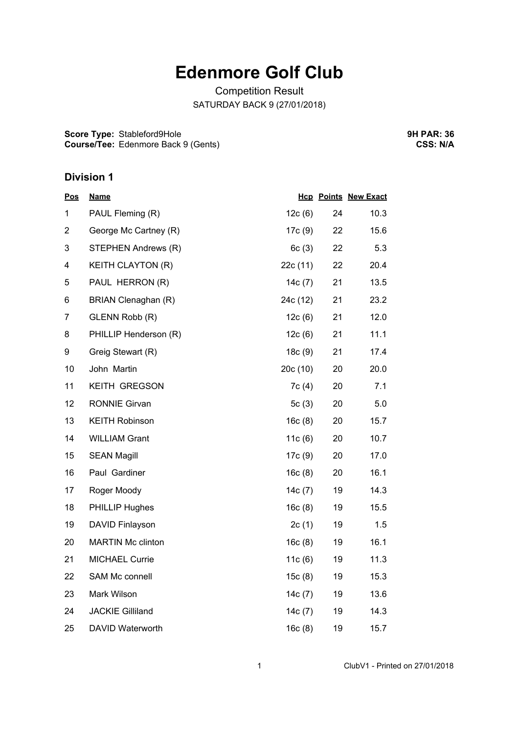# **Edenmore Golf Club**

Competition Result SATURDAY BACK 9 (27/01/2018)

**Score Type:** Stableford9Hole **Course/Tee:** Edenmore Back 9 (Gents) **9H PAR: 36 CSS: N/A**

### **Division 1**

| <b>Pos</b>     | <b>Name</b>              |           |    | <b>Hcp Points New Exact</b> |
|----------------|--------------------------|-----------|----|-----------------------------|
| 1              | PAUL Fleming (R)         | 12c(6)    | 24 | 10.3                        |
| $\overline{2}$ | George Mc Cartney (R)    | 17c (9)   | 22 | 15.6                        |
| 3              | STEPHEN Andrews (R)      | 6c(3)     | 22 | 5.3                         |
| 4              | <b>KEITH CLAYTON (R)</b> | 22c (11)  | 22 | 20.4                        |
| 5              | PAUL HERRON (R)          | 14 $c(7)$ | 21 | 13.5                        |
| 6              | BRIAN Clenaghan (R)      | 24c (12)  | 21 | 23.2                        |
| 7              | GLENN Robb (R)           | 12c(6)    | 21 | 12.0                        |
| 8              | PHILLIP Henderson (R)    | 12c(6)    | 21 | 11.1                        |
| 9              | Greig Stewart (R)        | 18c(9)    | 21 | 17.4                        |
| 10             | John Martin              | 20c (10)  | 20 | 20.0                        |
| 11             | <b>KEITH GREGSON</b>     | 7c (4)    | 20 | 7.1                         |
| 12             | <b>RONNIE Girvan</b>     | 5c(3)     | 20 | 5.0                         |
| 13             | <b>KEITH Robinson</b>    | 16c(8)    | 20 | 15.7                        |
| 14             | <b>WILLIAM Grant</b>     | 11c(6)    | 20 | 10.7                        |
| 15             | <b>SEAN Magill</b>       | 17c (9)   | 20 | 17.0                        |
| 16             | Paul Gardiner            | 16c(8)    | 20 | 16.1                        |
| 17             | Roger Moody              | 14c(7)    | 19 | 14.3                        |
| 18             | <b>PHILLIP Hughes</b>    | 16c(8)    | 19 | 15.5                        |
| 19             | <b>DAVID Finlayson</b>   | 2c(1)     | 19 | 1.5                         |
| 20             | <b>MARTIN Mc clinton</b> | 16c(8)    | 19 | 16.1                        |
| 21             | <b>MICHAEL Currie</b>    | 11 $c(6)$ | 19 | 11.3                        |
| 22             | SAM Mc connell           | 15c(8)    | 19 | 15.3                        |
| 23             | Mark Wilson              | 14c(7)    | 19 | 13.6                        |
| 24             | <b>JACKIE Gilliland</b>  | 14c (7)   | 19 | 14.3                        |
| 25             | DAVID Waterworth         | 16c(8)    | 19 | 15.7                        |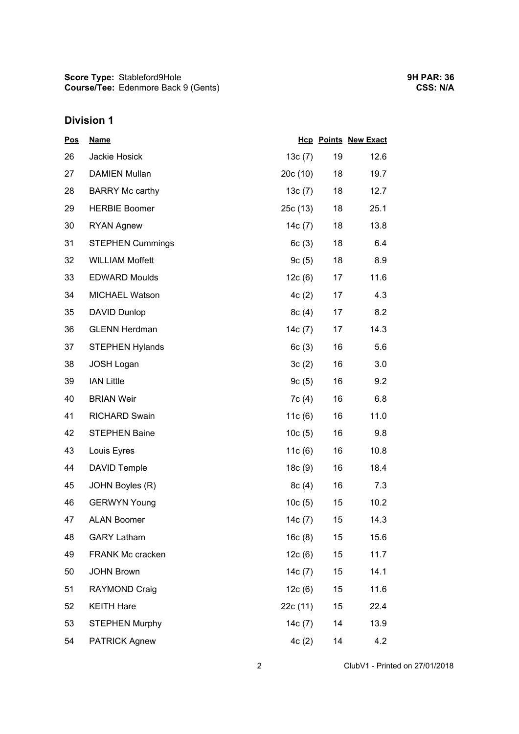## **Division 1**

| <b>Pos</b> | <b>Name</b>             |           |    | <b>Hcp Points New Exact</b> |
|------------|-------------------------|-----------|----|-----------------------------|
| 26         | Jackie Hosick           | 13c(7)    | 19 | 12.6                        |
| 27         | <b>DAMIEN Mullan</b>    | 20c(10)   | 18 | 19.7                        |
| 28         | <b>BARRY Mc carthy</b>  | 13c(7)    | 18 | 12.7                        |
| 29         | <b>HERBIE Boomer</b>    | 25c(13)   | 18 | 25.1                        |
| 30         | <b>RYAN Agnew</b>       | 14 $c(7)$ | 18 | 13.8                        |
| 31         | <b>STEPHEN Cummings</b> | 6c(3)     | 18 | 6.4                         |
| 32         | <b>WILLIAM Moffett</b>  | 9c(5)     | 18 | 8.9                         |
| 33         | <b>EDWARD Moulds</b>    | 12c(6)    | 17 | 11.6                        |
| 34         | <b>MICHAEL Watson</b>   | 4c(2)     | 17 | 4.3                         |
| 35         | DAVID Dunlop            | 8c(4)     | 17 | 8.2                         |
| 36         | <b>GLENN Herdman</b>    | 14c(7)    | 17 | 14.3                        |
| 37         | <b>STEPHEN Hylands</b>  | 6c(3)     | 16 | 5.6                         |
| 38         | <b>JOSH Logan</b>       | 3c(2)     | 16 | 3.0                         |
| 39         | <b>IAN Little</b>       | 9c(5)     | 16 | 9.2                         |
| 40         | <b>BRIAN Weir</b>       | 7c(4)     | 16 | 6.8                         |
| 41         | <b>RICHARD Swain</b>    | 11 $c(6)$ | 16 | 11.0                        |
| 42         | <b>STEPHEN Baine</b>    | 10c(5)    | 16 | 9.8                         |
| 43         | Louis Eyres             | 11 $c(6)$ | 16 | 10.8                        |
| 44         | <b>DAVID Temple</b>     | 18c(9)    | 16 | 18.4                        |
| 45         | JOHN Boyles (R)         | 8c(4)     | 16 | 7.3                         |
| 46         | <b>GERWYN Young</b>     | 10c(5)    | 15 | 10.2                        |
| 47         | <b>ALAN Boomer</b>      | 14c(7)    | 15 | 14.3                        |
| 48         | <b>GARY Latham</b>      | 16c(8)    | 15 | 15.6                        |
| 49         | FRANK Mc cracken        | 12c(6)    | 15 | 11.7                        |
| 50         | <b>JOHN Brown</b>       | 14 $c(7)$ | 15 | 14.1                        |
| 51         | RAYMOND Craig           | 12c(6)    | 15 | 11.6                        |
| 52         | <b>KEITH Hare</b>       | 22c (11)  | 15 | 22.4                        |
| 53         | <b>STEPHEN Murphy</b>   | 14 $c(7)$ | 14 | 13.9                        |
| 54         | <b>PATRICK Agnew</b>    | 4c(2)     | 14 | 4.2                         |